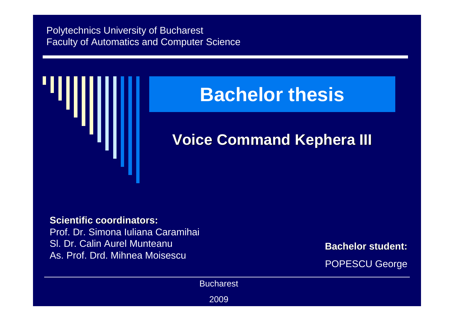#### Polytechnics University of BucharestFaculty of Automatics and Computer Science



### **Bachelor thesis**

#### **Voice Command Kephera III**

#### **Scientific coordinators:**

 Prof. Dr. Simona Iuliana CaramihaiSl. Dr. Calin Aurel MunteanuAs. Prof. Drd. Mihnea Moisescu

**Bachelor student:**

POPESCU George

**Bucharest** 

2009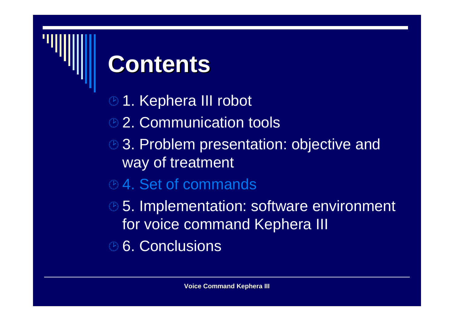### **Contents**

- <sup>®</sup> 1. Kephera III robot
- <sup>2</sup> 2. Communication tools
- **8. Problem presentation: objective and** way of treatment
- **<sup>®</sup> 4. Set of commands**
- **85. Implementation: software environment** for voice command Kephera III
- **<sup>®</sup> 6. Conclusions**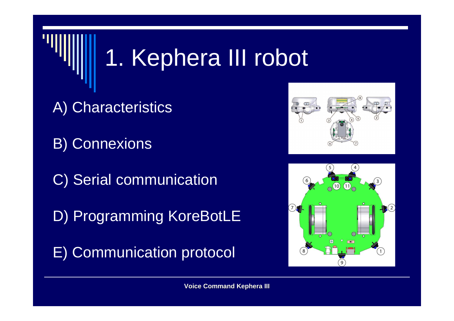### 1. Kephera III robot

A) Characteristics

B) Connexions

C) Serial communication

D) Programming KoreBotLE

E) Communication protocol



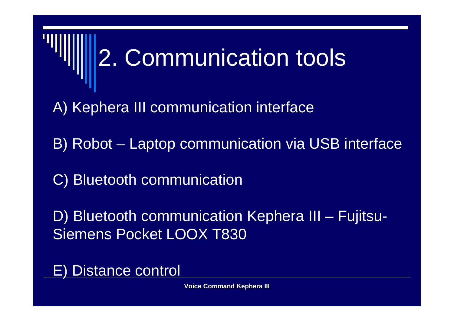# 2. Communication tools

A) Kephera III communication interface

B) Robot – Laptop communication via USB interface

C) Bluetooth communication

D) Bluetooth communication Kephera III – Fujitsu-Siemens Pocket LOOX T830

Distance control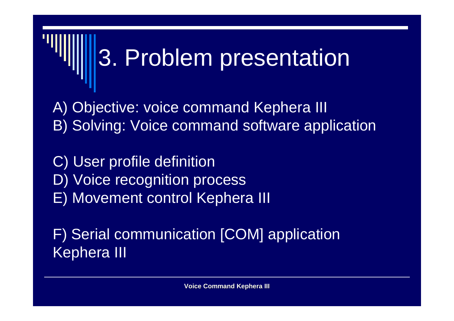## 3. Problem presentation

A) Objective: voice command Kephera IIIB) Solving: Voice command software application

C) User profile definition D) Voice recognition processE) Movement control Kephera III

F) Serial communication [COM] application Kephera III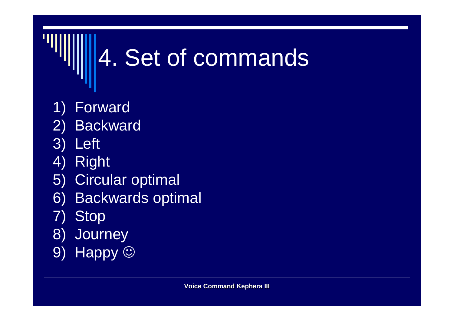## 4. Set of commands

- 1) Forward
- 2) Backward
- 3) Left
- 4) Right
- 5) Circular optimal
- 6) Backwards optimal
- 7) Stop
- 8) Journey
- 9) Happy ©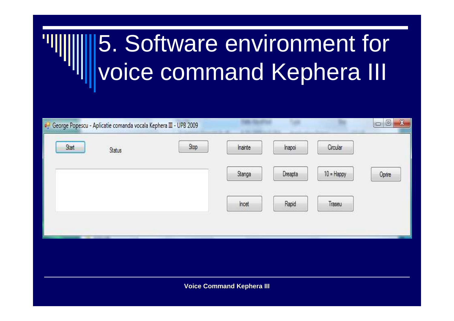### 5. Software environment for voice command Kephera III

| de George Popescu - Aplicatie comanda vocala Kephera III - UPB 2009 |      |         |         |              | $\pmb{\mathsf{X}}$<br>$\Box$ |
|---------------------------------------------------------------------|------|---------|---------|--------------|------------------------------|
| Start<br><b>Status</b>                                              | Stop | Inainte | Inapoi  | Circular     |                              |
|                                                                     |      | Stanga  | Dreapta | $10 =$ Happy | Oprire                       |
|                                                                     |      | Incet   | Rapid   | Traseu       |                              |
|                                                                     |      |         |         |              |                              |
|                                                                     |      |         |         |              |                              |
| <b>Voice Command Kephera III</b>                                    |      |         |         |              |                              |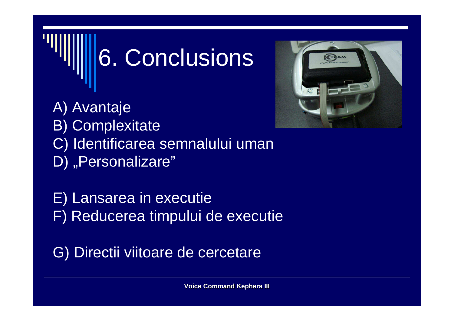## 6. Conclusions

A) Avantaje B) Complexitate C) Identificarea semnalului umanD) "Personalizare"

E) Lansarea in executieF) Reducerea timpului de executie

G) Directii viitoare de cercetare